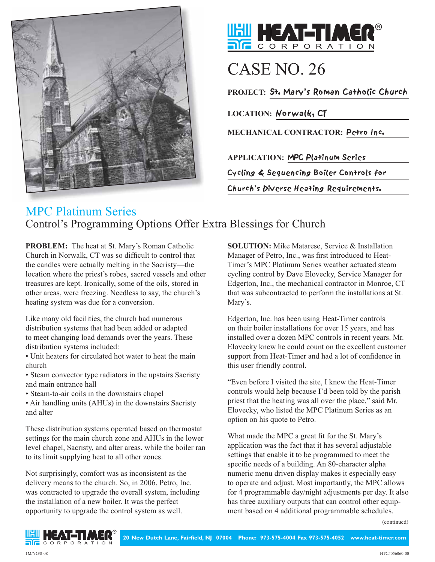



## CASE NO. 26

**PROJECT:** St. Mary's Roman Catholic Church

**LOCATION:** Norwalk, CT

**MECHANICAL CONTRACTOR:** Petro Inc.

**APPLICATION:** MPC Platinum Series

Cycling & Sequencing Boiler Controls for

Church's Diverse Heating Requirements.

## MPC Platinum Series Control's Programming Options Offer Extra Blessings for Church

**PROBLEM:** The heat at St. Mary's Roman Catholic Church in Norwalk, CT was so difficult to control that the candles were actually melting in the Sacristy—the location where the priest's robes, sacred vessels and other treasures are kept. Ironically, some of the oils, stored in other areas, were freezing. Needless to say, the church's heating system was due for a conversion.

Like many old facilities, the church had numerous distribution systems that had been added or adapted to meet changing load demands over the years. These distribution systems included:

• Unit heaters for circulated hot water to heat the main church

• Steam convector type radiators in the upstairs Sacristy and main entrance hall

• Steam-to-air coils in the downstairs chapel

• Air handling units (AHUs) in the downstairs Sacristy and alter

These distribution systems operated based on thermostat settings for the main church zone and AHUs in the lower level chapel, Sacristy, and alter areas, while the boiler ran to its limit supplying heat to all other zones.

Not surprisingly, comfort was as inconsistent as the delivery means to the church. So, in 2006, Petro, Inc. was contracted to upgrade the overall system, including the installation of a new boiler. It was the perfect opportunity to upgrade the control system as well.

**SOLUTION:** Mike Matarese, Service & Installation Manager of Petro, Inc., was first introduced to Heat-Timer's MPC Platinum Series weather actuated steam cycling control by Dave Elovecky, Service Manager for Edgerton, Inc., the mechanical contractor in Monroe, CT that was subcontracted to perform the installations at St. Mary's.

Edgerton, Inc. has been using Heat-Timer controls on their boiler installations for over 15 years, and has installed over a dozen MPC controls in recent years. Mr. Elovecky knew he could count on the excellent customer support from Heat-Timer and had a lot of confidence in this user friendly control.

"Even before I visited the site, I knew the Heat-Timer controls would help because I'd been told by the parish priest that the heating was all over the place," said Mr. Elovecky, who listed the MPC Platinum Series as an option on his quote to Petro.

What made the MPC a great fit for the St. Mary's application was the fact that it has several adjustable settings that enable it to be programmed to meet the specific needs of a building. An 80-character alpha numeric menu driven display makes it especially easy to operate and adjust. Most importantly, the MPC allows for 4 programmable day/night adjustments per day. It also has three auxiliary outputs that can control other equipment based on 4 additional programmable schedules.

(continued)